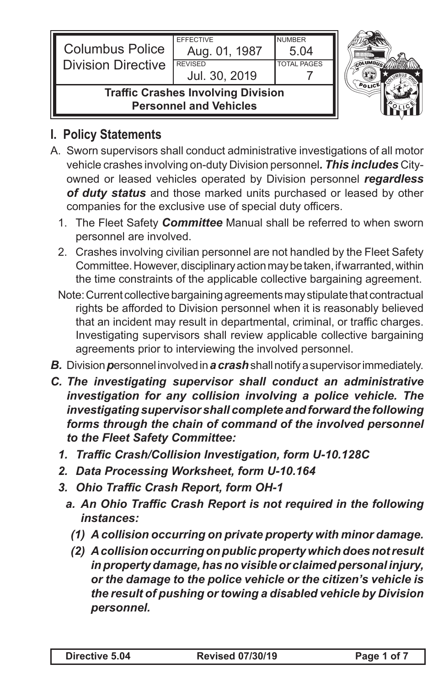| <b>Columbus Police</b>                                                     | <b>EFFECTIVE</b><br>Aug. 01, 1987 | <b>NUMBER</b><br>5.04 |  |
|----------------------------------------------------------------------------|-----------------------------------|-----------------------|--|
| <b>Division Directive</b>                                                  | <b>REVISED</b><br>Jul. 30, 2019   | <b>TOTAL PAGES</b>    |  |
| <b>Traffic Crashes Involving Division</b><br><b>Personnel and Vehicles</b> |                                   |                       |  |

## **I. Policy Statements**

- A. Sworn supervisors shall conduct administrative investigations of all motor vehicle crashes involving on-duty Division personnel*. This includes* Cityowned or leased vehicles operated by Division personnel *regardless of duty status* and those marked units purchased or leased by other companies for the exclusive use of special duty officers.
	- 1. The Fleet Safety *Committee* Manual shall be referred to when sworn personnel are involved.
	- 2. Crashes involving civilian personnel are not handled by the Fleet Safety Committee. However, disciplinary action may be taken, if warranted, within the time constraints of the applicable collective bargaining agreement.
	- Note: Current collective bargaining agreements may stipulate that contractual rights be afforded to Division personnel when it is reasonably believed that an incident may result in departmental, criminal, or traffic charges. Investigating supervisors shall review applicable collective bargaining agreements prior to interviewing the involved personnel.
- *B.* Division *p*ersonnel involved in *a crash* shall notify a supervisor immediately.
- *C. The investigating supervisor shall conduct an administrative investigation for any collision involving a police vehicle. The investigating supervisor shall complete and forward the following forms through the chain of command of the involved personnel to the Fleet Safety Committee:*
	- *1. Traffic Crash/Collision Investigation, form U-10.128C*
	- *2. Data Processing Worksheet, form U-10.164*
	- *3. Ohio Traffic Crash Report, form OH-1*
		- *a. An Ohio Traffic Crash Report is not required in the following instances:*
			- *(1) A collision occurring on private property with minor damage.*
			- *(2) Acollisionoccurringonpublicpropertywhichdoesnotresult inpropertydamage,hasnovisibleor claimedpersonal injury, or the damage to the police vehicle or the citizen's vehicle is the result of pushing or towing a disabled vehicle by Division personnel.*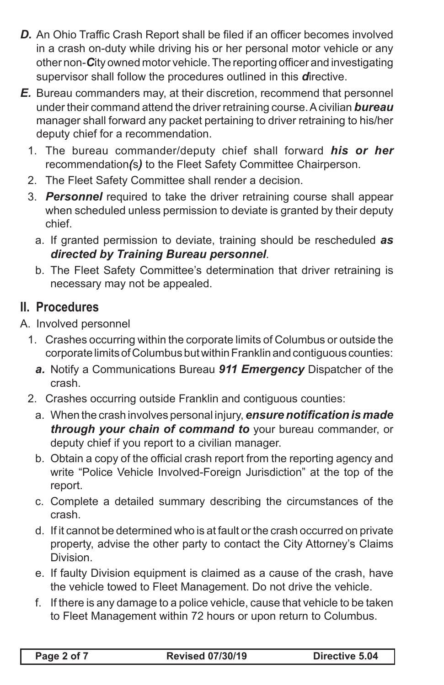- *D.* An Ohio Traffic Crash Report shall be filed if an officer becomes involved in a crash on-duty while driving his or her personal motor vehicle or any other non-*C*ity owned motor vehicle. The reporting officer and investigating supervisor shall follow the procedures outlined in this *d*irective.
- *E.* Bureau commanders may, at their discretion, recommend that personnel under their command attend the driver retraining course. A civilian *bureau* manager shall forward any packet pertaining to driver retraining to his/her deputy chief for a recommendation.
	- 1. The bureau commander/deputy chief shall forward *his or her*  recommendation*(*s*)* to the Fleet Safety Committee Chairperson.
	- 2. The Fleet Safety Committee shall render a decision.
	- 3. *Personnel* required to take the driver retraining course shall appear when scheduled unless permission to deviate is granted by their deputy chief.
		- a. If granted permission to deviate, training should be rescheduled *as directed by Training Bureau personnel*.
		- b. The Fleet Safety Committee's determination that driver retraining is necessary may not be appealed.

## **II. Procedures**

A. Involved personnel

- 1. Crashes occurring within the corporate limits of Columbus or outside the corporate limits of Columbus but within Franklin and contiguous counties:
	- *a.* Notify a Communications Bureau *911 Emergency* Dispatcher of the crash.
- 2. Crashes occurring outside Franklin and contiguous counties:
	- a. When the crash involves personal injury, *ensurenotificationis made through your chain of command to* your bureau commander, or deputy chief if you report to a civilian manager.
	- b. Obtain a copy of the official crash report from the reporting agency and write "Police Vehicle Involved-Foreign Jurisdiction" at the top of the report.
	- c. Complete a detailed summary describing the circumstances of the crash.
	- d. If it cannot be determined who is at fault or the crash occurred on private property, advise the other party to contact the City Attorney's Claims Division.
	- e. If faulty Division equipment is claimed as a cause of the crash, have the vehicle towed to Fleet Management. Do not drive the vehicle.
	- f. If there is any damage to a police vehicle, cause that vehicle to be taken to Fleet Management within 72 hours or upon return to Columbus.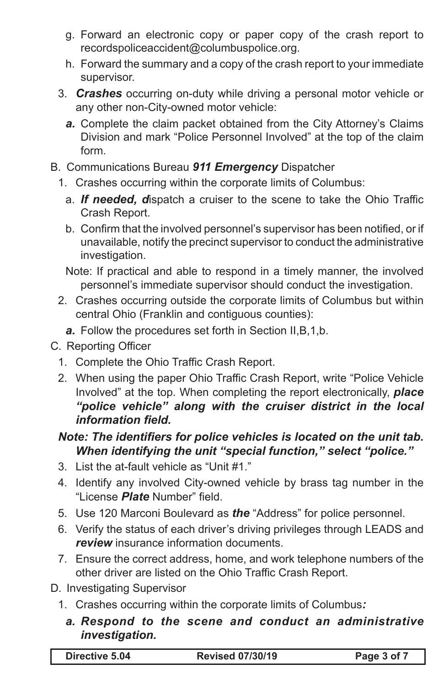- g. Forward an electronic copy or paper copy of the crash report to recordspoliceaccident@columbuspolice.org.
- h. Forward the summary and a copy of the crash report to your immediate supervisor.
- 3. *Crashes* occurring on-duty while driving a personal motor vehicle or any other non-City-owned motor vehicle:
	- *a.* Complete the claim packet obtained from the City Attorney's Claims Division and mark "Police Personnel Involved" at the top of the claim form.
- B. Communications Bureau *911 Emergency* Dispatcher
	- 1. Crashes occurring within the corporate limits of Columbus:
		- a. *If needed, d*ispatch a cruiser to the scene to take the Ohio Traffic Crash Report.
		- b. Confirm that the involved personnel's supervisor has been notified, or if unavailable, notify the precinct supervisor to conduct the administrative investigation.
		- Note: If practical and able to respond in a timely manner, the involved personnel's immediate supervisor should conduct the investigation.
	- 2. Crashes occurring outside the corporate limits of Columbus but within central Ohio (Franklin and contiguous counties):
		- *a.* Follow the procedures set forth in Section II,B,1,b.
- C. Reporting Officer
	- 1. Complete the Ohio Traffic Crash Report.
	- 2. When using the paper Ohio Traffic Crash Report, write "Police Vehicle Involved" at the top. When completing the report electronically, *place "police vehicle" along with the cruiser district in the local information field.*

## *Note: The identifiers for police vehicles is located on the unit tab. When identifying the unit "special function," select "police."*

- 3. List the at-fault vehicle as "Unit #1."
- 4. Identify any involved City-owned vehicle by brass tag number in the "License *Plate* Number" field.
- 5. Use 120 Marconi Boulevard as *the* "Address" for police personnel.
- 6. Verify the status of each driver's driving privileges through LEADS and *review* insurance information documents.
- 7. Ensure the correct address, home, and work telephone numbers of the other driver are listed on the Ohio Traffic Crash Report.
- D. Investigating Supervisor
	- 1. Crashes occurring within the corporate limits of Columbus*:*
		- *a. Respond to the scene and conduct an administrative investigation.*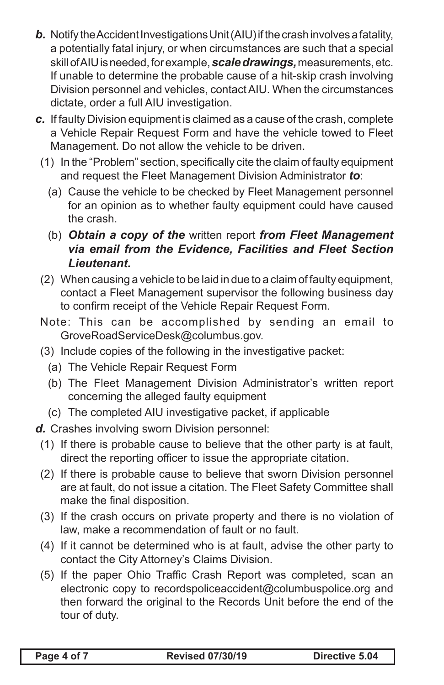- *b.* Notify the Accident Investigations Unit (AIU) if the crash involves a fatality, a potentially fatal injury, or when circumstances are such that a special skill of AIU is needed, for example, *scaledrawings,* measurements, etc. If unable to determine the probable cause of a hit-skip crash involving Division personnel and vehicles, contact AIU. When the circumstances dictate, order a full AIU investigation.
- *c.* If faulty Division equipment is claimed as a cause of the crash, complete a Vehicle Repair Request Form and have the vehicle towed to Fleet Management. Do not allow the vehicle to be driven.
	- (1) In the "Problem" section, specifically cite the claim of faulty equipment and request the Fleet Management Division Administrator *to*:
		- (a) Cause the vehicle to be checked by Fleet Management personnel for an opinion as to whether faulty equipment could have caused the crash.
		- (b) *Obtain a copy of the* written report *from Fleet Management via email from the Evidence, Facilities and Fleet Section Lieutenant.*
	- (2) When causing a vehicle to be laid in due to a claim of faulty equipment, contact a Fleet Management supervisor the following business day to confirm receipt of the Vehicle Repair Request Form.
	- Note: This can be accomplished by sending an email to GroveRoadServiceDesk@columbus.gov.
	- (3) Include copies of the following in the investigative packet:
		- (a) The Vehicle Repair Request Form
		- (b) The Fleet Management Division Administrator's written report concerning the alleged faulty equipment
		- (c) The completed AIU investigative packet, if applicable
- *d.* Crashes involving sworn Division personnel:
- (1) If there is probable cause to believe that the other party is at fault, direct the reporting officer to issue the appropriate citation.
- (2) If there is probable cause to believe that sworn Division personnel are at fault, do not issue a citation. The Fleet Safety Committee shall make the final disposition.
- (3) If the crash occurs on private property and there is no violation of law, make a recommendation of fault or no fault.
- (4) If it cannot be determined who is at fault, advise the other party to contact the City Attorney's Claims Division.
- (5) If the paper Ohio Traffic Crash Report was completed, scan an electronic copy to recordspoliceaccident@columbuspolice.org and then forward the original to the Records Unit before the end of the tour of duty.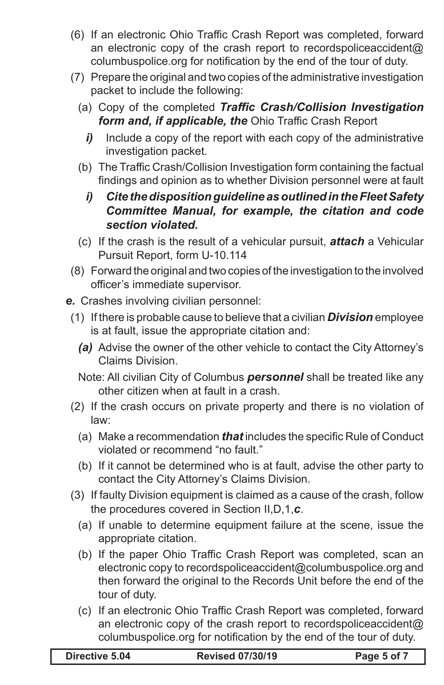- (6) If an electronic Ohio Traffic Crash Report was completed, forward an electronic copy of the crash report to recordspoliceaccident@ columbuspolice.org for notification by the end of the tour of duty.
- (7) Prepare the original and two copies of the administrative investigation packet to include the following:
	- (a) Copy of the completed *Traffic Crash/Collision Investigation form and, if applicable, the* Ohio Traffic Crash Report
		- *i*) Include a copy of the report with each copy of the administrative investigation packet.
	- (b) The Traffic Crash/Collision Investigation form containing the factual findings and opinion as to whether Division personnel were at fault
		- *i) Cite the disposition guideline as outlined in the Fleet Safety Committee Manual, for example, the citation and code section violated.*
	- (c) If the crash is the result of a vehicular pursuit, *attach* a Vehicular Pursuit Report, form U-10.114
- (8) Forward the original and two copies of the investigation to the involved officer's immediate supervisor.
- *e.* Crashes involving civilian personnel:
	- (1) If there is probable cause to believe that a civilian *Division* employee is at fault, issue the appropriate citation and:
		- *(a)* Advise the owner of the other vehicle to contact the City Attorney's Claims Division.
		- Note: All civilian City of Columbus *personnel* shall be treated like any other citizen when at fault in a crash.
	- (2) If the crash occurs on private property and there is no violation of law:
		- (a) Make a recommendation *that* includes the specific Rule of Conduct violated or recommend "no fault."
		- (b) If it cannot be determined who is at fault, advise the other party to contact the City Attorney's Claims Division.
	- (3) If faulty Division equipment is claimed as a cause of the crash, follow the procedures covered in Section II,D,1,*c*.
		- (a) If unable to determine equipment failure at the scene, issue the appropriate citation.
		- (b) If the paper Ohio Traffic Crash Report was completed, scan an electronic copy to recordspoliceaccident@columbuspolice.org and then forward the original to the Records Unit before the end of the tour of duty.
		- (c) If an electronic Ohio Traffic Crash Report was completed, forward an electronic copy of the crash report to recordspoliceaccident@ columbuspolice.org for notification by the end of the tour of duty.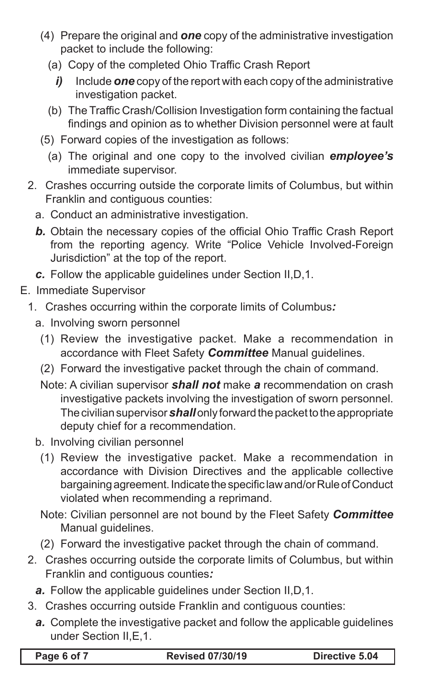- (4) Prepare the original and *one* copy of the administrative investigation packet to include the following:
	- (a) Copy of the completed Ohio Traffic Crash Report
		- *i)* Include *one* copy of the report with each copy of the administrative investigation packet.
	- (b) The Traffic Crash/Collision Investigation form containing the factual findings and opinion as to whether Division personnel were at fault
- (5) Forward copies of the investigation as follows:
	- (a) The original and one copy to the involved civilian *employee's* immediate supervisor.
- 2. Crashes occurring outside the corporate limits of Columbus, but within Franklin and contiguous counties:
	- a. Conduct an administrative investigation.
	- **b.** Obtain the necessary copies of the official Ohio Traffic Crash Report from the reporting agency. Write "Police Vehicle Involved-Foreign Jurisdiction" at the top of the report.
	- *c.* Follow the applicable guidelines under Section II,D,1.
- E. Immediate Supervisor
	- 1. Crashes occurring within the corporate limits of Columbus*:*
		- a. Involving sworn personnel
			- (1) Review the investigative packet. Make a recommendation in accordance with Fleet Safety *Committee* Manual guidelines.
			- (2) Forward the investigative packet through the chain of command.
			- Note: A civilian supervisor *shall not* make *a* recommendation on crash investigative packets involving the investigation of sworn personnel. The civilian supervisor *shall* only forward the packet to the appropriate deputy chief for a recommendation.
		- b. Involving civilian personnel
			- (1) Review the investigative packet. Make a recommendation in accordance with Division Directives and the applicable collective bargaining agreement. Indicate the specific law and/or Rule of Conduct violated when recommending a reprimand.
			- Note: Civilian personnel are not bound by the Fleet Safety *Committee*  Manual guidelines.
			- (2) Forward the investigative packet through the chain of command.
	- 2. Crashes occurring outside the corporate limits of Columbus, but within Franklin and contiguous counties*:*
		- *a.* Follow the applicable guidelines under Section II,D,1.
	- 3. Crashes occurring outside Franklin and contiguous counties:
		- *a.* Complete the investigative packet and follow the applicable guidelines under Section II,E,1.